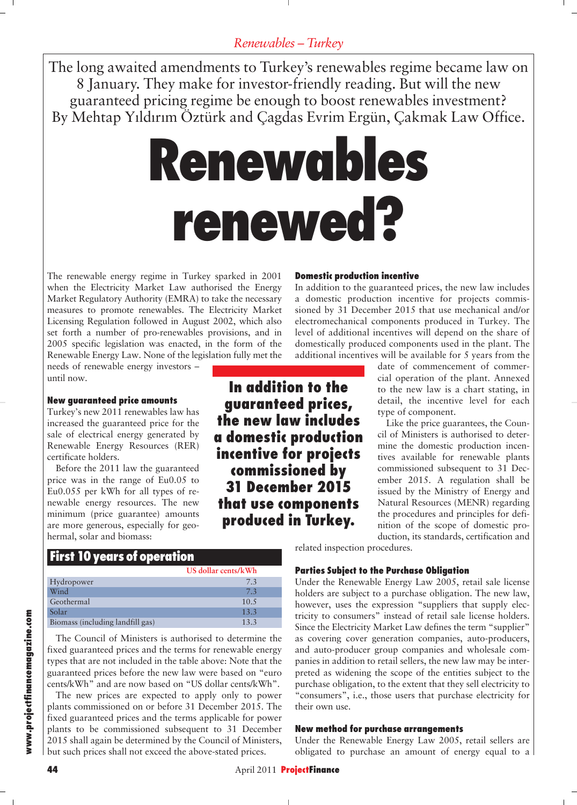The long awaited amendments to Turkey's renewables regime became law on 8 January. They make for investor-friendly reading. But will the new guaranteed pricing regime be enough to boost renewables investment? By Mehtap Yıldırım Öztürk and Çagdas Evrim Ergün, Çakmak Law Office.

# **Renewables renewed?**

**In addition to the guaranteed prices, the new law includes a domestic production incentive for projects commissioned by 31 December 2015 that use components produced in Turkey.**

The renewable energy regime in Turkey sparked in 2001 when the Electricity Market Law authorised the Energy Market Regulatory Authority (EMRA) to take the necessary measures to promote renewables. The Electricity Market Licensing Regulation followed in August 2002, which also set forth a number of pro-renewables provisions, and in 2005 specific legislation was enacted, in the form of the Renewable Energy Law. None of the legislation fully met the

needs of renewable energy investors – until now.

#### **New guaranteed price amounts**

Turkey's new 2011 renewables law has increased the guaranteed price for the sale of electrical energy generated by Renewable Energy Resources (RER) certificate holders.

Before the 2011 law the guaranteed price was in the range of Eu0.05 to Eu0.055 per kWh for all types of renewable energy resources. The new minimum (price guarantee) amounts are more generous, especially for geohermal, solar and biomass:

# **First 10 years of operation**

|                                  | US dollar cents/kWh |  |
|----------------------------------|---------------------|--|
| Hydropower                       | 7.3                 |  |
| Wind                             | 7.3                 |  |
| Geothermal                       | 10.5                |  |
| Solar                            | 13.3                |  |
| Biomass (including landfill gas) | 13.3                |  |

The Council of Ministers is authorised to determine the fixed guaranteed prices and the terms for renewable energy types that are not included in the table above: Note that the guaranteed prices before the new law were based on "euro cents/kWh" and are now based on "US dollar cents/kWh".

The new prices are expected to apply only to power plants commissioned on or before 31 December 2015. The fixed guaranteed prices and the terms applicable for power plants to be commissioned subsequent to 31 December 2015 shall again be determined by the Council of Ministers, but such prices shall not exceed the above-stated prices.

#### **Domestic production incentive**

In addition to the guaranteed prices, the new law includes a domestic production incentive for projects commissioned by 31 December 2015 that use mechanical and/or electromechanical components produced in Turkey. The level of additional incentives will depend on the share of domestically produced components used in the plant. The additional incentives will be available for 5 years from the

> date of commencement of commercial operation of the plant. Annexed to the new law is a chart stating, in detail, the incentive level for each type of component.

> Like the price guarantees, the Council of Ministers is authorised to deter mine the domestic production incentives available for renewable plants commissioned subsequent to 31 December 2015. A regulation shall be issued by the Ministry of Energy and Natural Resources (MENR) regarding the procedures and principles for definition of the scope of domestic production, its standards, certification and

related inspection procedures.

#### **Parties Subject to the Purchase Obligation**

Under the Renewable Energy Law 2005, retail sale license holders are subject to a purchase obligation. The new law, however, uses the expression "suppliers that supply electricity to consumers" instead of retail sale license holders. Since the Electricity Market Law defines the term "supplier" as covering cover generation companies, auto-producers, and auto-producer group companies and wholesale companies in addition to retail sellers, the new law may be inter preted as widening the scope of the entities subject to the purchase obligation, to the extent that they sell electricity to "consumers", i.e., those users that purchase electricity for their own use.

#### **New method for purchase arrangements**

Under the Renewable Energy Law 2005, retail sellers are obligated to purchase an amount of energy equal to a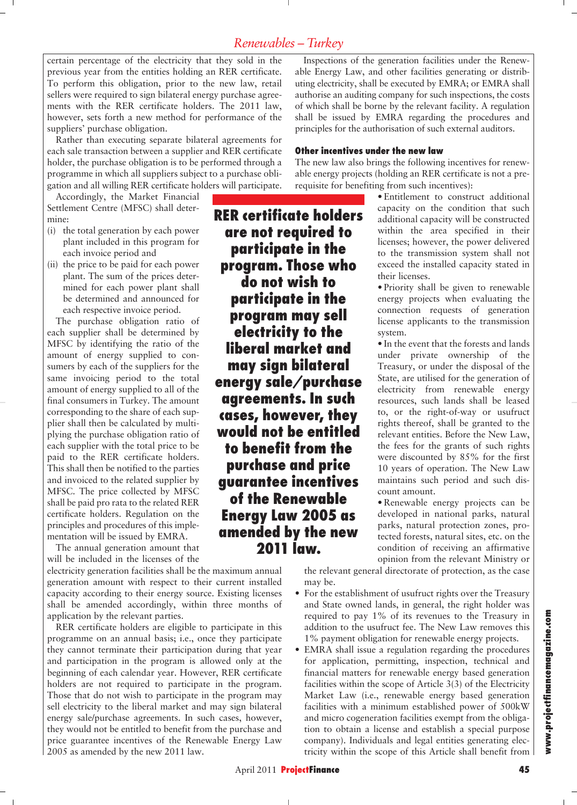certain percentage of the electricity that they sold in the previous year from the entities holding an RER certificate. To perform this obligation, prior to the new law, retail sellers were required to sign bilateral energy purchase agreements with the RER certificate holders. The 2011 law, however, sets forth a new method for performance of the suppliers' purchase obligation.

Rather than executing separate bilateral agreements for each sale transaction between a supplier and RER certificate holder, the purchase obligation is to be performed through a programme in which all suppliers subject to a purchase obligation and all willing RER certificate holders will participate.

Accordingly, the Market Financial Settlement Centre (MFSC) shall determine:

- (i) the total generation by each power plant included in this program for each invoice period and
- (ii) the price to be paid for each power plant. The sum of the prices determined for each power plant shall be determined and announced for each respective invoice period.

The purchase obligation ratio of each supplier shall be determined by MFSC by identifying the ratio of the amount of energy supplied to consumers by each of the suppliers for the same invoicing period to the total amount of energy supplied to all of the final consumers in Turkey. The amount corresponding to the share of each supplier shall then be calculated by multiplying the purchase obligation ratio of each supplier with the total price to be paid to the RER certificate holders. This shall then be notified to the parties and invoiced to the related supplier by MFSC. The price collected by MFSC shall be paid pro rata to the related RER certificate holders. Regulation on the principles and procedures of this implementation will be issued by EMRA.

The annual generation amount that will be included in the licenses of the

electricity generation facilities shall be the maximum annual generation amount with respect to their current installed capacity according to their energy source. Existing licenses shall be amended accordingly, within three months of application by the relevant parties.

RER certificate holders are eligible to participate in this programme on an annual basis; i.e., once they participate they cannot terminate their participation during that year and participation in the program is allowed only at the beginning of each calendar year. However, RER certificate holders are not required to participate in the program. Those that do not wish to participate in the program may sell electricity to the liberal market and may sign bilateral energy sale/purchase agreements. In such cases, however, they would not be entitled to benefit from the purchase and price guarantee incentives of the Renewable Energy Law 2005 as amended by the new 2011 law.

**RER certificate holders are not required to participate in the program. Those who do not wish to participate in the program may sell electricity to the liberal market and may sign bilateral energy sale/purchase agreements. In such cases, however, they would not be entitled to benefit from the purchase and price guarantee incentives of the Renewable Energy Law 2005 as amended by the new 2011 law.** 

Inspections of the generation facilities under the Renewable Energy Law, and other facilities generating or distributing electricity, shall be executed by EMRA; or EMRA shall authorise an auditing company for such inspections, the costs of which shall be borne by the relevant facility. A regulation shall be issued by EMRA regarding the procedures and principles for the authorisation of such external auditors.

#### **Other incentives under the new law**

The new law also brings the following incentives for renewable energy projects (holding an RER certificate is not a prerequisite for benefiting from such incentives):

> • Entitlement to construct additional capacity on the condition that such additional capacity will be constructed within the area specified in their licenses; however, the power delivered to the transmission system shall not exceed the installed capacity stated in their licenses.

> • Priority shall be given to renewable energy projects when evaluating the connection requests of generation license applicants to the transmission system.

> • In the event that the forests and lands under private ownership of the Treasury, or under the disposal of the State, are utilised for the generation of electricity from renewable energy resources, such lands shall be leased to, or the right-of-way or usufruct rights thereof, shall be granted to the relevant entities. Before the New Law, the fees for the grants of such rights were discounted by 85% for the first 10 years of operation. The New Law maintains such period and such discount amount.

> • Renewable energy projects can be developed in national parks, natural parks, natural protection zones, protected forests, natural sites, etc. on the condition of receiving an affirmative opinion from the relevant Ministry or

the relevant general directorate of protection, as the case may be.

- For the establishment of usufruct rights over the Treasury and State owned lands, in general, the right holder was required to pay 1% of its revenues to the Treasury in addition to the usufruct fee. The New Law removes this 1% payment obligation for renewable energy projects.
- EMRA shall issue a regulation regarding the procedures for application, permitting, inspection, technical and financial matters for renewable energy based generation facilities within the scope of Article 3(3) of the Electricity Market Law (i.e., renewable energy based generation facilities with a minimum established power of 500kW and micro cogeneration facilities exempt from the obligation to obtain a license and establish a special purpose company). Individuals and legal entities generating electricity within the scope of this Article shall benefit from